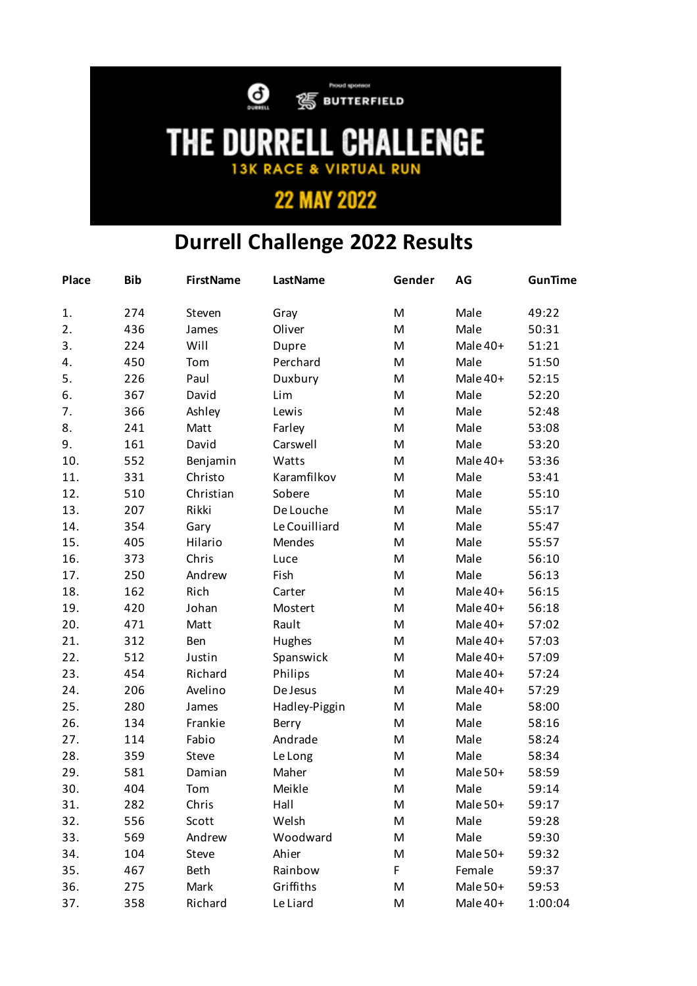

 $\bigodot$   $\bigcirc$  BUTTERFIELD

## **THE DURRELL CHALLENGE**

## **22 MAY 2022**

## **Durrell Challenge 2022 Results**

| Place | <b>Bib</b> | <b>FirstName</b> | <b>LastName</b> | Gender | AG       | <b>GunTime</b> |
|-------|------------|------------------|-----------------|--------|----------|----------------|
| 1.    | 274        | Steven           | Gray            | M      | Male     | 49:22          |
| 2.    | 436        | James            | Oliver          | M      | Male     | 50:31          |
| 3.    | 224        | Will             | Dupre           | M      | Male 40+ | 51:21          |
| 4.    | 450        | Tom              | Perchard        | M      | Male     | 51:50          |
| 5.    | 226        | Paul             | Duxbury         | M      | Male 40+ | 52:15          |
| 6.    | 367        | David            | Lim             | M      | Male     | 52:20          |
| 7.    | 366        | Ashley           | Lewis           | M      | Male     | 52:48          |
| 8.    | 241        | Matt             | Farley          | M      | Male     | 53:08          |
| 9.    | 161        | David            | Carswell        | M      | Male     | 53:20          |
| 10.   | 552        | Benjamin         | Watts           | M      | Male 40+ | 53:36          |
| 11.   | 331        | Christo          | Karamfilkov     | M      | Male     | 53:41          |
| 12.   | 510        | Christian        | Sobere          | M      | Male     | 55:10          |
| 13.   | 207        | Rikki            | De Louche       | M      | Male     | 55:17          |
| 14.   | 354        | Gary             | Le Couilliard   | M      | Male     | 55:47          |
| 15.   | 405        | Hilario          | Mendes          | M      | Male     | 55:57          |
| 16.   | 373        | Chris            | Luce            | M      | Male     | 56:10          |
| 17.   | 250        | Andrew           | Fish            | M      | Male     | 56:13          |
| 18.   | 162        | Rich             | Carter          | M      | Male 40+ | 56:15          |
| 19.   | 420        | Johan            | Mostert         | M      | Male 40+ | 56:18          |
| 20.   | 471        | Matt             | Rault           | M      | Male 40+ | 57:02          |
| 21.   | 312        | Ben              | Hughes          | M      | Male 40+ | 57:03          |
| 22.   | 512        | Justin           | Spanswick       | M      | Male 40+ | 57:09          |
| 23.   | 454        | Richard          | Philips         | M      | Male 40+ | 57:24          |
| 24.   | 206        | Avelino          | De Jesus        | M      | Male 40+ | 57:29          |
| 25.   | 280        | James            | Hadley-Piggin   | M      | Male     | 58:00          |
| 26.   | 134        | Frankie          | Berry           | M      | Male     | 58:16          |
| 27.   | 114        | Fabio            | Andrade         | M      | Male     | 58:24          |
| 28.   | 359        | Steve            | Le Long         | M      | Male     | 58:34          |
| 29.   | 581        | Damian           | Maher           | M      | Male 50+ | 58:59          |
| 30.   | 404        | Tom              | Meikle          | M      | Male     | 59:14          |
| 31.   | 282        | Chris            | Hall            | M      | Male 50+ | 59:17          |
| 32.   | 556        | Scott            | Welsh           | M      | Male     | 59:28          |
| 33.   | 569        | Andrew           | Woodward        | M      | Male     | 59:30          |
| 34.   | 104        | Steve            | Ahier           | М      | Male 50+ | 59:32          |
| 35.   | 467        | <b>Beth</b>      | Rainbow         | F      | Female   | 59:37          |
| 36.   | 275        | Mark             | Griffiths       | M      | Male 50+ | 59:53          |
| 37.   | 358        | Richard          | Le Liard        | M      | Male 40+ | 1:00:04        |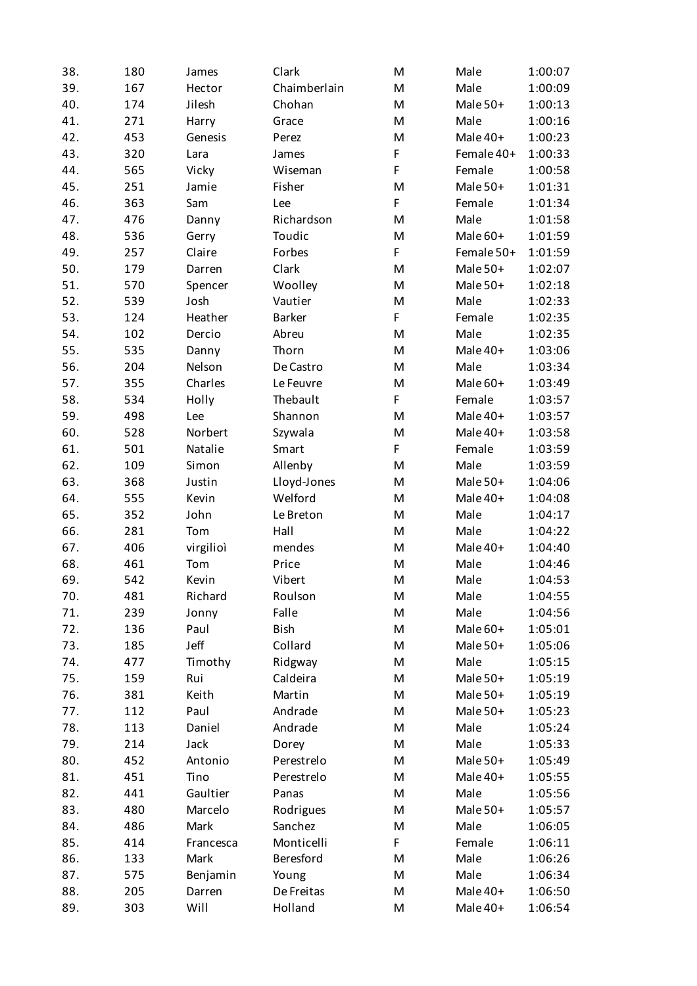| 38. | 180 | James     | Clark         | M | Male       | 1:00:07 |
|-----|-----|-----------|---------------|---|------------|---------|
| 39. | 167 | Hector    | Chaimberlain  | M | Male       | 1:00:09 |
| 40. | 174 | Jilesh    | Chohan        | M | Male 50+   | 1:00:13 |
| 41. | 271 | Harry     | Grace         | M | Male       | 1:00:16 |
| 42. | 453 | Genesis   | Perez         | M | Male 40+   | 1:00:23 |
| 43. | 320 | Lara      | James         | F | Female 40+ | 1:00:33 |
| 44. | 565 | Vicky     | Wiseman       | F | Female     | 1:00:58 |
| 45. | 251 | Jamie     | Fisher        | M | Male 50+   | 1:01:31 |
| 46. | 363 | Sam       | Lee           | F | Female     | 1:01:34 |
| 47. | 476 | Danny     | Richardson    | M | Male       | 1:01:58 |
| 48. | 536 | Gerry     | Toudic        | M | Male 60+   | 1:01:59 |
| 49. | 257 | Claire    | Forbes        | F | Female 50+ | 1:01:59 |
| 50. | 179 | Darren    | Clark         | M | Male 50+   | 1:02:07 |
| 51. | 570 | Spencer   | Woolley       | M | Male 50+   | 1:02:18 |
| 52. | 539 | Josh      | Vautier       | M | Male       | 1:02:33 |
| 53. | 124 | Heather   | <b>Barker</b> | F | Female     | 1:02:35 |
| 54. | 102 | Dercio    | Abreu         | M | Male       | 1:02:35 |
| 55. | 535 | Danny     | Thorn         | M | Male 40+   | 1:03:06 |
| 56. | 204 | Nelson    | De Castro     | M | Male       | 1:03:34 |
| 57. | 355 | Charles   | Le Feuvre     | M | Male 60+   | 1:03:49 |
| 58. | 534 | Holly     | Thebault      | F | Female     | 1:03:57 |
| 59. | 498 | Lee       | Shannon       | M | Male 40+   | 1:03:57 |
| 60. | 528 | Norbert   | Szywala       | M | Male 40+   | 1:03:58 |
| 61. | 501 | Natalie   | Smart         | F | Female     | 1:03:59 |
| 62. | 109 | Simon     | Allenby       | M | Male       | 1:03:59 |
| 63. | 368 | Justin    | Lloyd-Jones   | M | Male 50+   | 1:04:06 |
| 64. | 555 | Kevin     | Welford       | M | Male 40+   | 1:04:08 |
| 65. | 352 | John      | Le Breton     | M | Male       | 1:04:17 |
| 66. | 281 | Tom       | Hall          | M | Male       | 1:04:22 |
| 67. | 406 | virgilioì | mendes        | M | Male 40+   | 1:04:40 |
| 68. | 461 | Tom       | Price         | M | Male       | 1:04:46 |
| 69. | 542 | Kevin     | Vibert        | M | Male       | 1:04:53 |
| 70. | 481 | Richard   | Roulson       | M | Male       | 1:04:55 |
| 71. | 239 | Jonny     | Falle         | M | Male       | 1:04:56 |
| 72. | 136 | Paul      | Bish          | M | Male 60+   | 1:05:01 |
| 73. | 185 | Jeff      | Collard       | M | Male 50+   | 1:05:06 |
| 74. | 477 | Timothy   | Ridgway       | M | Male       | 1:05:15 |
| 75. | 159 | Rui       | Caldeira      | M | Male 50+   | 1:05:19 |
| 76. | 381 | Keith     | Martin        | M | Male 50+   | 1:05:19 |
| 77. | 112 | Paul      | Andrade       | M | Male 50+   | 1:05:23 |
| 78. | 113 | Daniel    | Andrade       | M | Male       | 1:05:24 |
| 79. | 214 | Jack      | Dorey         | M | Male       | 1:05:33 |
| 80. | 452 | Antonio   | Perestrelo    | M | Male 50+   | 1:05:49 |
| 81. | 451 | Tino      | Perestrelo    | M | Male 40+   | 1:05:55 |
| 82. | 441 | Gaultier  | Panas         | M | Male       | 1:05:56 |
| 83. | 480 | Marcelo   | Rodrigues     | M | Male 50+   | 1:05:57 |
| 84. | 486 | Mark      | Sanchez       | M | Male       | 1:06:05 |
| 85. | 414 | Francesca | Monticelli    | F | Female     | 1:06:11 |
| 86. | 133 | Mark      | Beresford     | M | Male       | 1:06:26 |
| 87. | 575 | Benjamin  | Young         | M | Male       | 1:06:34 |
| 88. | 205 | Darren    | De Freitas    | M | Male 40+   | 1:06:50 |
| 89. | 303 | Will      | Holland       | M | Male 40+   | 1:06:54 |
|     |     |           |               |   |            |         |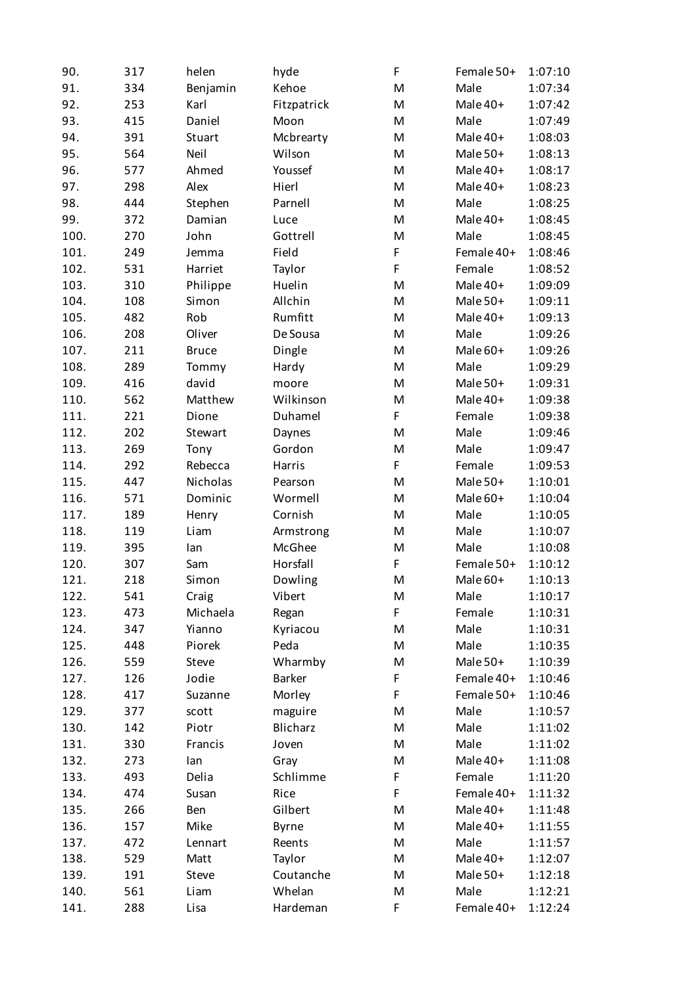| 90.  | 317 | helen        | hyde          | F | Female 50+ | 1:07:10 |
|------|-----|--------------|---------------|---|------------|---------|
| 91.  | 334 | Benjamin     | Kehoe         | M | Male       | 1:07:34 |
| 92.  | 253 | Karl         | Fitzpatrick   | M | Male 40+   | 1:07:42 |
| 93.  | 415 | Daniel       | Moon          | M | Male       | 1:07:49 |
| 94.  | 391 | Stuart       | Mcbrearty     | M | Male 40+   | 1:08:03 |
| 95.  | 564 | Neil         | Wilson        | M | Male 50+   | 1:08:13 |
| 96.  | 577 | Ahmed        | Youssef       | M | Male 40+   | 1:08:17 |
| 97.  | 298 | Alex         | Hierl         | M | Male 40+   | 1:08:23 |
| 98.  | 444 | Stephen      | Parnell       | M | Male       | 1:08:25 |
| 99.  | 372 | Damian       | Luce          | M | Male 40+   | 1:08:45 |
| 100. | 270 | John         | Gottrell      | M | Male       | 1:08:45 |
| 101. | 249 | Jemma        | Field         | F | Female 40+ | 1:08:46 |
| 102. | 531 | Harriet      | Taylor        | F | Female     | 1:08:52 |
| 103. | 310 | Philippe     | Huelin        | M | Male 40+   | 1:09:09 |
| 104. | 108 | Simon        | Allchin       | M | Male 50+   | 1:09:11 |
| 105. | 482 | Rob          | Rumfitt       | M | Male 40+   | 1:09:13 |
| 106. | 208 | Oliver       | De Sousa      | M | Male       | 1:09:26 |
| 107. | 211 | <b>Bruce</b> | Dingle        | M | Male 60+   | 1:09:26 |
| 108. | 289 | Tommy        | Hardy         | M | Male       | 1:09:29 |
| 109. | 416 | david        | moore         | M | Male 50+   | 1:09:31 |
| 110. | 562 | Matthew      | Wilkinson     | M | Male 40+   | 1:09:38 |
| 111. | 221 | Dione        | Duhamel       | F | Female     | 1:09:38 |
| 112. | 202 | Stewart      | Daynes        | M | Male       | 1:09:46 |
| 113. | 269 | Tony         | Gordon        | M | Male       | 1:09:47 |
| 114. | 292 | Rebecca      | Harris        | F | Female     | 1:09:53 |
| 115. | 447 | Nicholas     | Pearson       | M | Male 50+   | 1:10:01 |
| 116. | 571 | Dominic      | Wormell       | M | Male 60+   | 1:10:04 |
| 117. | 189 | Henry        | Cornish       | M | Male       | 1:10:05 |
| 118. | 119 | Liam         | Armstrong     | M | Male       | 1:10:07 |
| 119. | 395 | lan          | McGhee        | M | Male       | 1:10:08 |
| 120. | 307 | Sam          | Horsfall      | F | Female 50+ | 1:10:12 |
| 121. | 218 | Simon        | Dowling       | M | Male 60+   | 1:10:13 |
| 122. | 541 | Craig        | Vibert        | M | Male       | 1:10:17 |
| 123. | 473 | Michaela     | Regan         | F | Female     | 1:10:31 |
| 124. | 347 | Yianno       | Kyriacou      | M | Male       | 1:10:31 |
| 125. | 448 | Piorek       | Peda          | M | Male       | 1:10:35 |
| 126. | 559 | Steve        | Wharmby       | M | Male 50+   | 1:10:39 |
| 127. | 126 | Jodie        | <b>Barker</b> | F | Female 40+ | 1:10:46 |
| 128. | 417 | Suzanne      | Morley        | F | Female 50+ | 1:10:46 |
| 129. | 377 | scott        | maguire       | M | Male       | 1:10:57 |
| 130. | 142 | Piotr        | Blicharz      | M | Male       | 1:11:02 |
| 131. | 330 | Francis      | Joven         | M | Male       | 1:11:02 |
| 132. | 273 | lan          | Gray          | M | Male 40+   | 1:11:08 |
| 133. | 493 | Delia        | Schlimme      | F | Female     | 1:11:20 |
| 134. | 474 | Susan        | Rice          | F | Female 40+ | 1:11:32 |
| 135. | 266 | Ben          | Gilbert       | M | Male 40+   | 1:11:48 |
| 136. | 157 | Mike         | <b>Byrne</b>  | M | Male 40+   | 1:11:55 |
| 137. | 472 | Lennart      | Reents        | M | Male       | 1:11:57 |
| 138. | 529 | Matt         | Taylor        | M | Male 40+   | 1:12:07 |
| 139. | 191 | Steve        | Coutanche     | M | Male 50+   | 1:12:18 |
| 140. | 561 | Liam         | Whelan        | M | Male       | 1:12:21 |
| 141. | 288 | Lisa         | Hardeman      | F | Female 40+ | 1:12:24 |
|      |     |              |               |   |            |         |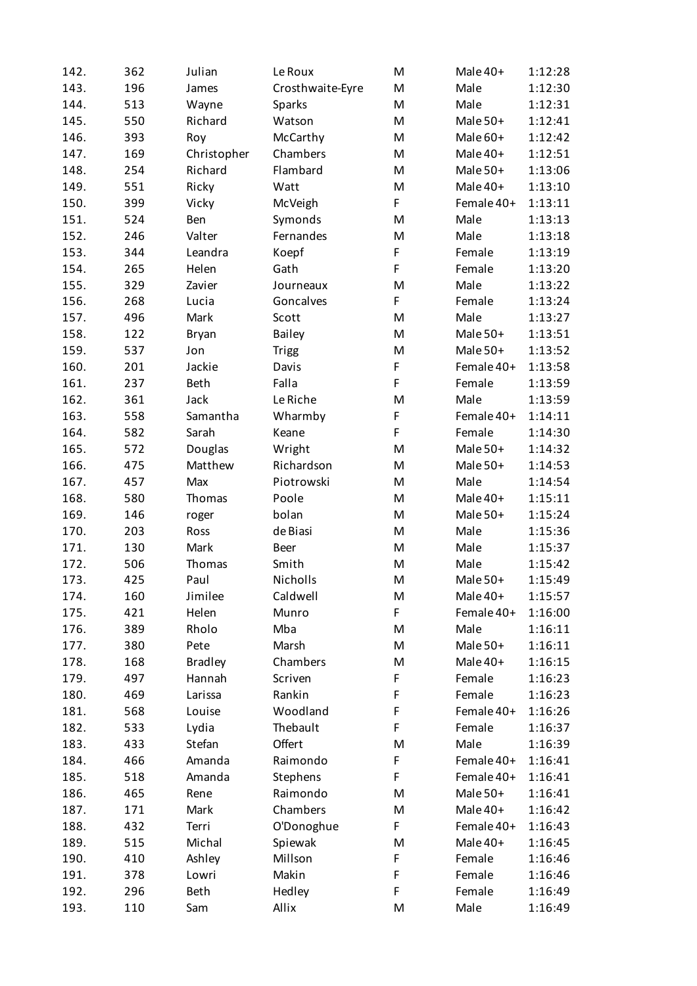| 142. | 362 | Julian         | Le Roux          | M  | Male 40+   | 1:12:28 |
|------|-----|----------------|------------------|----|------------|---------|
| 143. | 196 | James          | Crosthwaite-Eyre | M  | Male       | 1:12:30 |
| 144. | 513 | Wayne          | <b>Sparks</b>    | M  | Male       | 1:12:31 |
| 145. | 550 | Richard        | Watson           | M  | Male 50+   | 1:12:41 |
| 146. | 393 | Roy            | McCarthy         | M  | Male 60+   | 1:12:42 |
| 147. | 169 | Christopher    | Chambers         | M  | Male 40+   | 1:12:51 |
| 148. | 254 | Richard        | Flambard         | M  | Male 50+   | 1:13:06 |
| 149. | 551 | Ricky          | Watt             | M  | Male 40+   | 1:13:10 |
| 150. | 399 | Vicky          | McVeigh          | F  | Female 40+ | 1:13:11 |
| 151. | 524 | Ben            | Symonds          | M  | Male       | 1:13:13 |
| 152. | 246 | Valter         | Fernandes        | M  | Male       | 1:13:18 |
| 153. | 344 | Leandra        | Koepf            | F  | Female     | 1:13:19 |
| 154. | 265 | Helen          | Gath             | F  | Female     | 1:13:20 |
| 155. | 329 | Zavier         | Journeaux        | M  | Male       | 1:13:22 |
| 156. | 268 | Lucia          | Goncalves        | F  | Female     | 1:13:24 |
| 157. | 496 | Mark           | Scott            | M  | Male       | 1:13:27 |
| 158. | 122 | <b>Bryan</b>   | <b>Bailey</b>    | M  | Male 50+   | 1:13:51 |
| 159. | 537 | Jon            | <b>Trigg</b>     | M  | Male 50+   | 1:13:52 |
| 160. | 201 | Jackie         | Davis            | F  | Female 40+ | 1:13:58 |
| 161. | 237 | <b>Beth</b>    | Falla            | F. | Female     | 1:13:59 |
| 162. | 361 | Jack           | Le Riche         | M  | Male       | 1:13:59 |
| 163. | 558 | Samantha       | Wharmby          | F  | Female 40+ | 1:14:11 |
| 164. | 582 | Sarah          | Keane            | F  | Female     | 1:14:30 |
| 165. | 572 | Douglas        | Wright           | M  | Male 50+   | 1:14:32 |
| 166. | 475 | Matthew        | Richardson       | M  | Male 50+   | 1:14:53 |
| 167. | 457 | Max            | Piotrowski       | M  | Male       | 1:14:54 |
| 168. | 580 | Thomas         | Poole            | M  | Male 40+   | 1:15:11 |
| 169. | 146 | roger          | bolan            | M  | Male 50+   | 1:15:24 |
| 170. | 203 | Ross           | de Biasi         | M  | Male       | 1:15:36 |
| 171. | 130 | Mark           | <b>Beer</b>      | M  | Male       | 1:15:37 |
| 172. | 506 | Thomas         | Smith            | M  | Male       | 1:15:42 |
| 173. | 425 | Paul           | Nicholls         | M  | Male 50+   | 1:15:49 |
| 174. | 160 | Jimilee        | Caldwell         | M  | Male 40+   | 1:15:57 |
| 175. | 421 | Helen          | Munro            | F  | Female 40+ | 1:16:00 |
| 176. | 389 | Rholo          | Mba              | M  | Male       | 1:16:11 |
| 177. | 380 | Pete           | Marsh            | M  | Male 50+   | 1:16:11 |
| 178. | 168 | <b>Bradley</b> | Chambers         | M  | Male 40+   | 1:16:15 |
| 179. | 497 | Hannah         | Scriven          | F  | Female     | 1:16:23 |
| 180. | 469 | Larissa        | Rankin           | F  | Female     | 1:16:23 |
| 181. | 568 | Louise         | Woodland         | F  | Female 40+ | 1:16:26 |
| 182. | 533 | Lydia          | Thebault         | F  | Female     | 1:16:37 |
| 183. | 433 | Stefan         | Offert           | M  | Male       | 1:16:39 |
| 184. | 466 | Amanda         | Raimondo         | F  | Female 40+ | 1:16:41 |
| 185. | 518 | Amanda         | Stephens         | F  | Female 40+ | 1:16:41 |
| 186. | 465 | Rene           | Raimondo         | M  | Male 50+   | 1:16:41 |
| 187. | 171 | Mark           | Chambers         | M  | Male 40+   | 1:16:42 |
| 188. | 432 | Terri          | O'Donoghue       | F. | Female 40+ | 1:16:43 |
| 189. | 515 | Michal         | Spiewak          | M  | Male 40+   | 1:16:45 |
| 190. | 410 | Ashley         | Millson          | F  | Female     | 1:16:46 |
| 191. | 378 | Lowri          | Makin            | F  | Female     | 1:16:46 |
| 192. | 296 | Beth           | Hedley           | F  | Female     | 1:16:49 |
| 193. | 110 | Sam            | Allix            | M  | Male       | 1:16:49 |
|      |     |                |                  |    |            |         |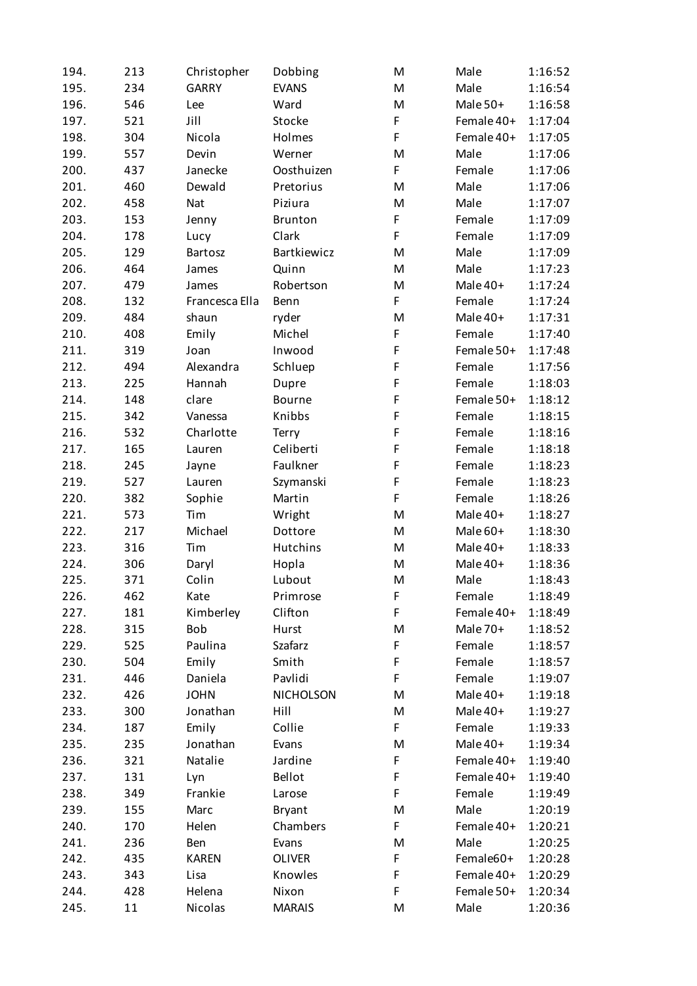| 194. | 213 | Christopher    | Dobbing          | M           | Male       | 1:16:52 |
|------|-----|----------------|------------------|-------------|------------|---------|
| 195. | 234 | <b>GARRY</b>   | <b>EVANS</b>     | M           | Male       | 1:16:54 |
| 196. | 546 | Lee            | Ward             | M           | Male 50+   | 1:16:58 |
| 197. | 521 | Jill           | Stocke           | F           | Female 40+ | 1:17:04 |
| 198. | 304 | Nicola         | Holmes           | F           | Female 40+ | 1:17:05 |
| 199. | 557 | Devin          | Werner           | M           | Male       | 1:17:06 |
| 200. | 437 | Janecke        | Oosthuizen       | F           | Female     | 1:17:06 |
| 201. | 460 | Dewald         | Pretorius        | M           | Male       | 1:17:06 |
| 202. | 458 | <b>Nat</b>     | Piziura          | M           | Male       | 1:17:07 |
| 203. | 153 | Jenny          | <b>Brunton</b>   | F           | Female     | 1:17:09 |
| 204. | 178 | Lucy           | Clark            | F           | Female     | 1:17:09 |
| 205. | 129 | Bartosz        | Bartkiewicz      | M           | Male       | 1:17:09 |
| 206. | 464 | James          | Quinn            | M           | Male       | 1:17:23 |
| 207. | 479 | James          | Robertson        | M           | Male 40+   | 1:17:24 |
| 208. | 132 | Francesca Ella | Benn             | F           | Female     | 1:17:24 |
| 209. | 484 | shaun          | ryder            | M           | Male 40+   | 1:17:31 |
| 210. | 408 | Emily          | Michel           | F           | Female     | 1:17:40 |
| 211. | 319 | Joan           | Inwood           | $\mathsf F$ | Female 50+ | 1:17:48 |
| 212. | 494 | Alexandra      | Schluep          | F           | Female     | 1:17:56 |
| 213. | 225 | Hannah         | Dupre            | F           | Female     | 1:18:03 |
| 214. | 148 | clare          | Bourne           | F           | Female 50+ | 1:18:12 |
| 215. | 342 | Vanessa        | Knibbs           | F           | Female     | 1:18:15 |
| 216. | 532 | Charlotte      | Terry            | F           | Female     | 1:18:16 |
| 217. | 165 | Lauren         | Celiberti        | F           | Female     | 1:18:18 |
| 218. | 245 | Jayne          | Faulkner         | F           | Female     | 1:18:23 |
| 219. | 527 | Lauren         | Szymanski        | F           | Female     | 1:18:23 |
| 220. | 382 | Sophie         | Martin           | F           | Female     | 1:18:26 |
| 221. | 573 | Tim            | Wright           | M           | Male 40+   | 1:18:27 |
| 222. | 217 | Michael        | Dottore          | M           | Male 60+   | 1:18:30 |
| 223. | 316 | Tim            | <b>Hutchins</b>  | M           | Male 40+   | 1:18:33 |
| 224. | 306 | Daryl          | Hopla            | M           | Male 40+   | 1:18:36 |
| 225. | 371 | Colin          | Lubout           | M           | Male       | 1:18:43 |
| 226. | 462 | Kate           | Primrose         | F           | Female     | 1:18:49 |
| 227. | 181 | Kimberley      | Clifton          | F           | Female 40+ | 1:18:49 |
| 228. | 315 | Bob            | Hurst            | M           | Male 70+   | 1:18:52 |
| 229. | 525 | Paulina        | Szafarz          | F           | Female     | 1:18:57 |
| 230. | 504 | Emily          | Smith            | F           | Female     | 1:18:57 |
| 231. | 446 | Daniela        | Pavlidi          | F           | Female     | 1:19:07 |
| 232. | 426 | <b>JOHN</b>    | <b>NICHOLSON</b> | M           | Male 40+   | 1:19:18 |
| 233. | 300 | Jonathan       | Hill             | M           | Male 40+   | 1:19:27 |
| 234. | 187 | Emily          | Collie           | F           | Female     | 1:19:33 |
| 235. | 235 | Jonathan       | Evans            | M           | Male 40+   | 1:19:34 |
| 236. | 321 | Natalie        | Jardine          | F           | Female 40+ | 1:19:40 |
| 237. | 131 | Lyn            | Bellot           | F           | Female 40+ | 1:19:40 |
| 238. | 349 | Frankie        | Larose           | F           | Female     | 1:19:49 |
| 239. | 155 | Marc           | <b>Bryant</b>    | M           | Male       | 1:20:19 |
| 240. | 170 | Helen          | Chambers         | F           | Female 40+ | 1:20:21 |
| 241. | 236 | Ben            | Evans            | M           | Male       | 1:20:25 |
| 242. | 435 | <b>KAREN</b>   | <b>OLIVER</b>    | F           | Female60+  | 1:20:28 |
| 243. | 343 | Lisa           | Knowles          | F           | Female 40+ | 1:20:29 |
| 244. | 428 | Helena         | Nixon            | F           | Female 50+ | 1:20:34 |
| 245. | 11  | Nicolas        | <b>MARAIS</b>    | M           | Male       | 1:20:36 |
|      |     |                |                  |             |            |         |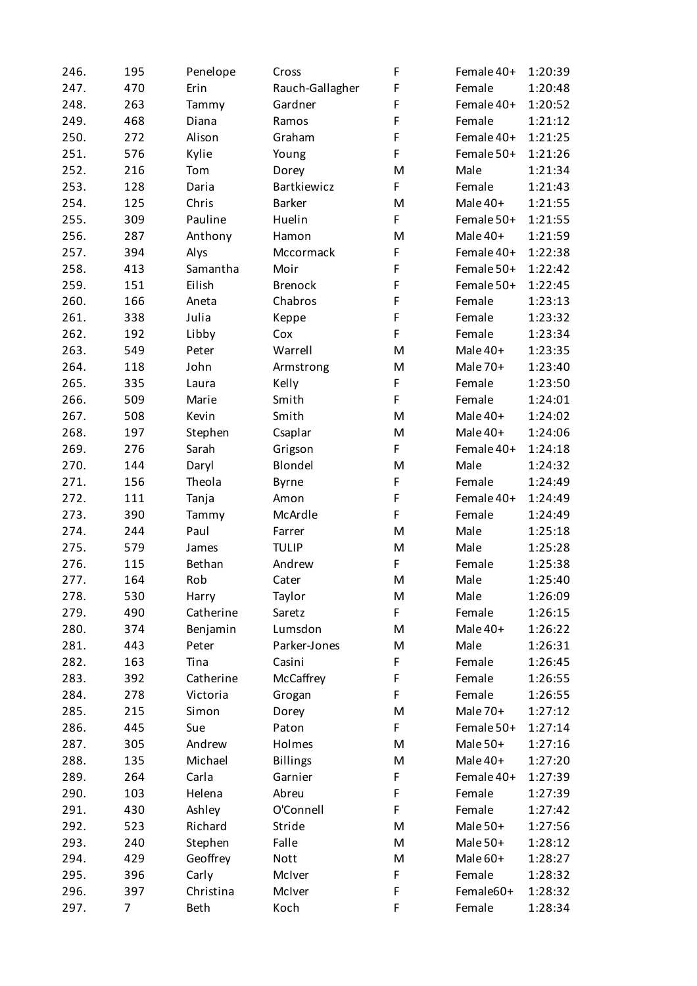| 246. | 195 | Penelope  | Cross           | F  | Female 40+ | 1:20:39 |
|------|-----|-----------|-----------------|----|------------|---------|
| 247. | 470 | Erin      | Rauch-Gallagher | F  | Female     | 1:20:48 |
| 248. | 263 | Tammy     | Gardner         | F  | Female 40+ | 1:20:52 |
| 249. | 468 | Diana     | Ramos           | F  | Female     | 1:21:12 |
| 250. | 272 | Alison    | Graham          | F  | Female 40+ | 1:21:25 |
| 251. | 576 | Kylie     | Young           | F  | Female 50+ | 1:21:26 |
| 252. | 216 | Tom       | Dorey           | M  | Male       | 1:21:34 |
| 253. | 128 | Daria     | Bartkiewicz     | F  | Female     | 1:21:43 |
| 254. | 125 | Chris     | <b>Barker</b>   | M  | Male 40+   | 1:21:55 |
| 255. | 309 | Pauline   | Huelin          | F  | Female 50+ | 1:21:55 |
| 256. | 287 | Anthony   | Hamon           | M  | Male 40+   | 1:21:59 |
| 257. | 394 | Alys      | Mccormack       | F  | Female 40+ | 1:22:38 |
| 258. | 413 | Samantha  | Moir            | F  | Female 50+ | 1:22:42 |
| 259. | 151 | Eilish    | <b>Brenock</b>  | F  | Female 50+ | 1:22:45 |
| 260. | 166 | Aneta     | Chabros         | F  | Female     | 1:23:13 |
| 261. | 338 | Julia     | Keppe           | F  | Female     | 1:23:32 |
| 262. | 192 | Libby     | Cox             | F  | Female     | 1:23:34 |
| 263. | 549 | Peter     | Warrell         | M  | Male 40+   | 1:23:35 |
| 264. | 118 | John      | Armstrong       | M  | Male 70+   | 1:23:40 |
| 265. | 335 | Laura     | Kelly           | F  | Female     | 1:23:50 |
| 266. | 509 | Marie     | Smith           | F  | Female     | 1:24:01 |
| 267. | 508 | Kevin     | Smith           | M  | Male 40+   | 1:24:02 |
| 268. | 197 | Stephen   | Csaplar         | M  | Male 40+   | 1:24:06 |
| 269. | 276 | Sarah     | Grigson         | F  | Female 40+ | 1:24:18 |
| 270. | 144 | Daryl     | Blondel         | M  | Male       | 1:24:32 |
| 271. | 156 | Theola    | <b>Byrne</b>    | F  | Female     | 1:24:49 |
| 272. | 111 | Tanja     | Amon            | F  | Female 40+ | 1:24:49 |
| 273. | 390 | Tammy     | McArdle         | F  | Female     | 1:24:49 |
| 274. | 244 | Paul      | Farrer          | M  | Male       | 1:25:18 |
| 275. | 579 | James     | <b>TULIP</b>    | M  | Male       | 1:25:28 |
| 276. | 115 | Bethan    | Andrew          | F  | Female     | 1:25:38 |
| 277. | 164 | Rob       | Cater           | M  | Male       | 1:25:40 |
| 278. | 530 | Harry     | Taylor          | M  | Male       | 1:26:09 |
| 279. | 490 | Catherine | Saretz          | F  | Female     | 1:26:15 |
| 280. | 374 | Benjamin  | Lumsdon         | M  | Male 40+   | 1:26:22 |
| 281. | 443 | Peter     | Parker-Jones    | M  | Male       | 1:26:31 |
| 282. | 163 | Tina      | Casini          | F  | Female     | 1:26:45 |
| 283. | 392 | Catherine | McCaffrey       | F  | Female     | 1:26:55 |
| 284. | 278 | Victoria  | Grogan          | F  | Female     | 1:26:55 |
| 285. | 215 | Simon     | Dorey           | M  | Male 70+   | 1:27:12 |
| 286. | 445 | Sue       | Paton           | F. | Female 50+ | 1:27:14 |
| 287. | 305 | Andrew    | Holmes          | M  | Male 50+   | 1:27:16 |
| 288. | 135 | Michael   | <b>Billings</b> | M  | Male 40+   | 1:27:20 |
| 289. | 264 | Carla     | Garnier         | F  | Female 40+ | 1:27:39 |
| 290. | 103 | Helena    | Abreu           | F  | Female     | 1:27:39 |
| 291. | 430 | Ashley    | O'Connell       | F  | Female     | 1:27:42 |
| 292. | 523 | Richard   | Stride          | M  | Male 50+   | 1:27:56 |
| 293. | 240 | Stephen   | Falle           | M  | Male 50+   | 1:28:12 |
| 294. | 429 | Geoffrey  | Nott            | M  | Male 60+   | 1:28:27 |
| 295. | 396 | Carly     | McIver          | F  | Female     | 1:28:32 |
| 296. | 397 | Christina | McIver          | F  | Female60+  | 1:28:32 |
| 297. | 7   | Beth      | Koch            | F  | Female     | 1:28:34 |
|      |     |           |                 |    |            |         |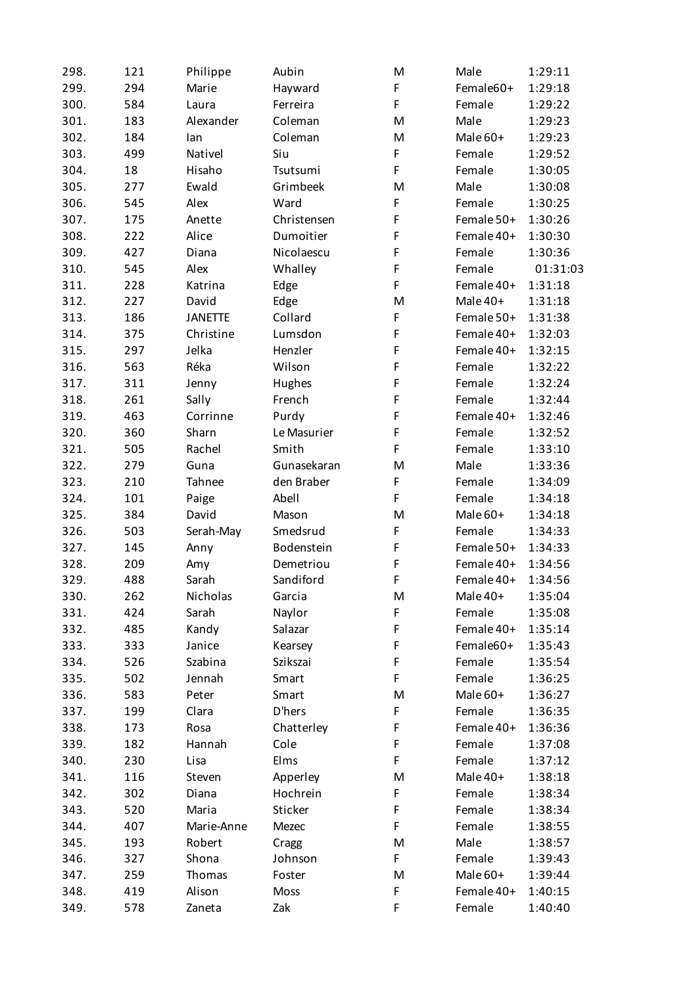| 298. | 121 | Philippe       | Aubin       | M           | Male       | 1:29:11  |
|------|-----|----------------|-------------|-------------|------------|----------|
| 299. | 294 | Marie          | Hayward     | F           | Female60+  | 1:29:18  |
| 300. | 584 | Laura          | Ferreira    | F           | Female     | 1:29:22  |
| 301. | 183 | Alexander      | Coleman     | M           | Male       | 1:29:23  |
| 302. | 184 | lan            | Coleman     | M           | Male 60+   | 1:29:23  |
| 303. | 499 | Nativel        | Siu         | F           | Female     | 1:29:52  |
| 304. | 18  | Hisaho         | Tsutsumi    | F           | Female     | 1:30:05  |
| 305. | 277 | Ewald          | Grimbeek    | M           | Male       | 1:30:08  |
| 306. | 545 | Alex           | Ward        | F           | Female     | 1:30:25  |
| 307. | 175 | Anette         | Christensen | F           | Female 50+ | 1:30:26  |
| 308. | 222 | Alice          | Dumoitier   | $\mathsf F$ | Female 40+ | 1:30:30  |
| 309. | 427 | Diana          | Nicolaescu  | F           | Female     | 1:30:36  |
| 310. | 545 | Alex           | Whalley     | F           | Female     | 01:31:03 |
| 311. | 228 | Katrina        | Edge        | F           | Female 40+ | 1:31:18  |
| 312. | 227 | David          | Edge        | M           | Male 40+   | 1:31:18  |
| 313. | 186 | <b>JANETTE</b> | Collard     | F           | Female 50+ | 1:31:38  |
| 314. | 375 | Christine      | Lumsdon     | F           | Female 40+ | 1:32:03  |
| 315. | 297 | Jelka          | Henzler     | F           | Female 40+ | 1:32:15  |
| 316. | 563 | Réka           | Wilson      | F           | Female     | 1:32:22  |
| 317. | 311 | Jenny          | Hughes      | F           | Female     | 1:32:24  |
| 318. | 261 | Sally          | French      | F           | Female     | 1:32:44  |
| 319. | 463 | Corrinne       | Purdy       | F           | Female 40+ | 1:32:46  |
| 320. | 360 | Sharn          | Le Masurier | F           | Female     | 1:32:52  |
| 321. | 505 | Rachel         | Smith       | F           | Female     | 1:33:10  |
| 322. | 279 | Guna           | Gunasekaran | M           | Male       | 1:33:36  |
| 323. | 210 | Tahnee         | den Braber  | F           | Female     | 1:34:09  |
| 324. | 101 | Paige          | Abell       | F           | Female     | 1:34:18  |
| 325. | 384 | David          | Mason       | M           | Male 60+   | 1:34:18  |
| 326. | 503 | Serah-May      | Smedsrud    | F           | Female     | 1:34:33  |
| 327. | 145 | Anny           | Bodenstein  | F           | Female 50+ | 1:34:33  |
| 328. | 209 | Amy            | Demetriou   | F           | Female 40+ | 1:34:56  |
| 329. | 488 | Sarah          | Sandiford   | $\mathsf F$ | Female 40+ | 1:34:56  |
| 330. | 262 | Nicholas       | Garcia      | M           | Male 40+   | 1:35:04  |
| 331. | 424 | Sarah          | Naylor      | F           | Female     | 1:35:08  |
| 332. | 485 | Kandy          | Salazar     | F           | Female 40+ | 1:35:14  |
| 333. | 333 | Janice         | Kearsey     | F           | Female60+  | 1:35:43  |
| 334. | 526 | Szabina        | Szikszai    | F           | Female     | 1:35:54  |
| 335. | 502 | Jennah         | Smart       | F           | Female     | 1:36:25  |
| 336. | 583 | Peter          | Smart       | M           | Male 60+   | 1:36:27  |
| 337. | 199 | Clara          | D'hers      | F           | Female     | 1:36:35  |
| 338. | 173 | Rosa           | Chatterley  | F           | Female 40+ | 1:36:36  |
| 339. | 182 | Hannah         | Cole        | F           | Female     | 1:37:08  |
| 340. | 230 | Lisa           | Elms        | F           | Female     | 1:37:12  |
| 341. | 116 | Steven         | Apperley    | M           | Male 40+   | 1:38:18  |
| 342. | 302 | Diana          | Hochrein    | F           | Female     | 1:38:34  |
| 343. | 520 | Maria          | Sticker     | F           | Female     | 1:38:34  |
| 344. | 407 | Marie-Anne     | Mezec       | F           | Female     | 1:38:55  |
| 345. | 193 | Robert         | Cragg       | M           | Male       | 1:38:57  |
| 346. | 327 | Shona          | Johnson     | F           | Female     | 1:39:43  |
| 347. | 259 | Thomas         | Foster      | M           | Male 60+   | 1:39:44  |
| 348. | 419 | Alison         | Moss        | F           | Female 40+ | 1:40:15  |
| 349. | 578 | Zaneta         | Zak         | F           | Female     | 1:40:40  |
|      |     |                |             |             |            |          |